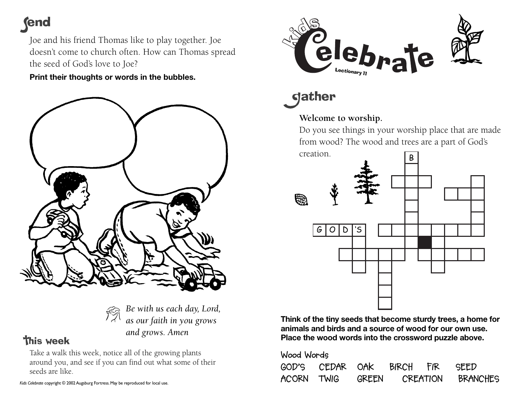## **fend**

Joe and his friend Thomas like to play together. Joe doesn't come to church often. How can Thomas spread the seed of God's love to Joe?

**Print their thoughts or words in the bubbles.**





## **this week**

Take a walk this week, notice all of the growing plants around you, and see if you can find out what some of their seeds are like.

*Kids Celebrate* copyright © 2002 Augsburg Fortress. May be reproduced for local use.



**gather** 

## **Welcome to worship.**

Do you see things in your worship place that are made from wood? The wood and trees are a part of God's creation.



**Think of the tiny seeds that become sturdy trees, a home for animals and birds and a source of wood for our own use. Place the wood words into the crossword puzzle above.** 

| Wood Words |                           |       |          |  |          |
|------------|---------------------------|-------|----------|--|----------|
|            | GOD'S CEDAR OAK BIRCH FIR |       |          |  | SEED     |
| ACORN TWIG |                           | GREEN | CREATION |  | BRANCHES |